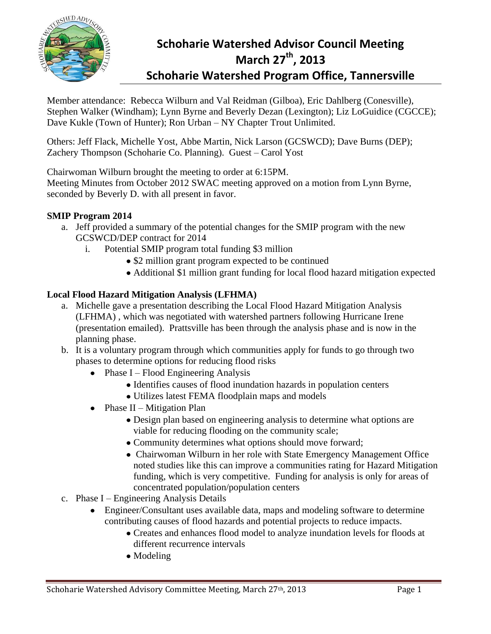

# **Schoharie Watershed Advisor Council Meeting March 27th, 2013 Schoharie Watershed Program Office, Tannersville**

Member attendance: Rebecca Wilburn and Val Reidman (Gilboa), Eric Dahlberg (Conesville), Stephen Walker (Windham); Lynn Byrne and Beverly Dezan (Lexington); Liz LoGuidice (CGCCE); Dave Kukle (Town of Hunter); Ron Urban – NY Chapter Trout Unlimited.

Others: Jeff Flack, Michelle Yost, Abbe Martin, Nick Larson (GCSWCD); Dave Burns (DEP); Zachery Thompson (Schoharie Co. Planning). Guest – Carol Yost

Chairwoman Wilburn brought the meeting to order at 6:15PM.

Meeting Minutes from October 2012 SWAC meeting approved on a motion from Lynn Byrne, seconded by Beverly D. with all present in favor.

## **SMIP Program 2014**

- a. Jeff provided a summary of the potential changes for the SMIP program with the new GCSWCD/DEP contract for 2014
	- i. Potential SMIP program total funding \$3 million
		- \$2 million grant program expected to be continued
		- Additional \$1 million grant funding for local flood hazard mitigation expected

## **Local Flood Hazard Mitigation Analysis (LFHMA)**

- a. Michelle gave a presentation describing the Local Flood Hazard Mitigation Analysis (LFHMA) , which was negotiated with watershed partners following Hurricane Irene (presentation emailed). Prattsville has been through the analysis phase and is now in the planning phase.
- b. It is a voluntary program through which communities apply for funds to go through two phases to determine options for reducing flood risks
	- $\bullet$  Phase I Flood Engineering Analysis
		- Identifies causes of flood inundation hazards in population centers
		- Utilizes latest FEMA floodplain maps and models
	- Phase II Mitigation Plan
		- Design plan based on engineering analysis to determine what options are viable for reducing flooding on the community scale;
		- Community determines what options should move forward;
		- Chairwoman Wilburn in her role with State Emergency Management Office noted studies like this can improve a communities rating for Hazard Mitigation funding, which is very competitive. Funding for analysis is only for areas of concentrated population/population centers
- c. Phase I Engineering Analysis Details
	- Engineer/Consultant uses available data, maps and modeling software to determine contributing causes of flood hazards and potential projects to reduce impacts.
		- Creates and enhances flood model to analyze inundation levels for floods at different recurrence intervals
		- Modeling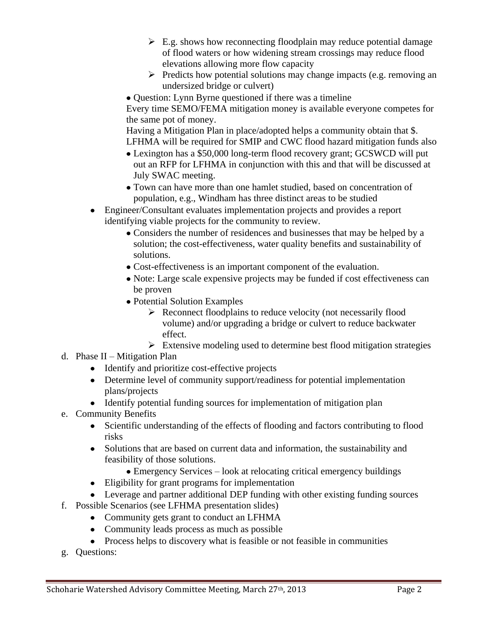- $\triangleright$  E.g. shows how reconnecting floodplain may reduce potential damage of flood waters or how widening stream crossings may reduce flood elevations allowing more flow capacity
- $\triangleright$  Predicts how potential solutions may change impacts (e.g. removing an undersized bridge or culvert)
- Question: Lynn Byrne questioned if there was a timeline

Every time SEMO/FEMA mitigation money is available everyone competes for the same pot of money.

Having a Mitigation Plan in place/adopted helps a community obtain that \$. LFHMA will be required for SMIP and CWC flood hazard mitigation funds also

- Lexington has a \$50,000 long-term flood recovery grant; GCSWCD will put out an RFP for LFHMA in conjunction with this and that will be discussed at July SWAC meeting.
- Town can have more than one hamlet studied, based on concentration of population, e.g., Windham has three distinct areas to be studied
- Engineer/Consultant evaluates implementation projects and provides a report identifying viable projects for the community to review.
	- Considers the number of residences and businesses that may be helped by a solution; the cost-effectiveness, water quality benefits and sustainability of solutions.
	- Cost-effectiveness is an important component of the evaluation.
	- Note: Large scale expensive projects may be funded if cost effectiveness can be proven
	- Potential Solution Examples
		- $\triangleright$  Reconnect floodplains to reduce velocity (not necessarily flood volume) and/or upgrading a bridge or culvert to reduce backwater effect.
		- $\triangleright$  Extensive modeling used to determine best flood mitigation strategies
- d. Phase II Mitigation Plan
	- Identify and prioritize cost-effective projects
	- Determine level of community support/readiness for potential implementation plans/projects
	- Identify potential funding sources for implementation of mitigation plan
- e. Community Benefits
	- Scientific understanding of the effects of flooding and factors contributing to flood risks
	- Solutions that are based on current data and information, the sustainability and feasibility of those solutions.
		- Emergency Services look at relocating critical emergency buildings
	- Eligibility for grant programs for implementation
	- Leverage and partner additional DEP funding with other existing funding sources
- f. Possible Scenarios (see LFHMA presentation slides)
	- Community gets grant to conduct an LFHMA
	- Community leads process as much as possible
	- Process helps to discovery what is feasible or not feasible in communities
- g. Questions: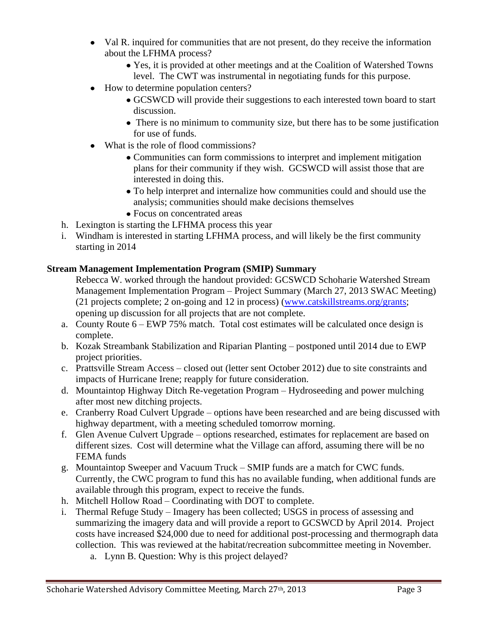- Val R. inquired for communities that are not present, do they receive the information about the LFHMA process?
	- Yes, it is provided at other meetings and at the Coalition of Watershed Towns level. The CWT was instrumental in negotiating funds for this purpose.
- How to determine population centers?
	- GCSWCD will provide their suggestions to each interested town board to start discussion.
	- There is no minimum to community size, but there has to be some justification for use of funds.
- What is the role of flood commissions?
	- Communities can form commissions to interpret and implement mitigation plans for their community if they wish. GCSWCD will assist those that are interested in doing this.
	- To help interpret and internalize how communities could and should use the analysis; communities should make decisions themselves
	- Focus on concentrated areas
- h. Lexington is starting the LFHMA process this year
- i. Windham is interested in starting LFHMA process, and will likely be the first community starting in 2014

#### **Stream Management Implementation Program (SMIP) Summary**

Rebecca W. worked through the handout provided: GCSWCD Schoharie Watershed Stream Management Implementation Program – Project Summary (March 27, 2013 SWAC Meeting) (21 projects complete; 2 on-going and 12 in process) [\(www.catskillstreams.org/grants;](http://www.catskillstreams.org/grants) opening up discussion for all projects that are not complete.

- a. County Route  $6 EWP$  75% match. Total cost estimates will be calculated once design is complete.
- b. Kozak Streambank Stabilization and Riparian Planting postponed until 2014 due to EWP project priorities.
- c. Prattsville Stream Access closed out (letter sent October 2012) due to site constraints and impacts of Hurricane Irene; reapply for future consideration.
- d. Mountaintop Highway Ditch Re-vegetation Program Hydroseeding and power mulching after most new ditching projects.
- e. Cranberry Road Culvert Upgrade options have been researched and are being discussed with highway department, with a meeting scheduled tomorrow morning.
- f. Glen Avenue Culvert Upgrade options researched, estimates for replacement are based on different sizes. Cost will determine what the Village can afford, assuming there will be no FEMA funds
- g. Mountaintop Sweeper and Vacuum Truck SMIP funds are a match for CWC funds. Currently, the CWC program to fund this has no available funding, when additional funds are available through this program, expect to receive the funds.
- h. Mitchell Hollow Road Coordinating with DOT to complete.
- i. Thermal Refuge Study Imagery has been collected; USGS in process of assessing and summarizing the imagery data and will provide a report to GCSWCD by April 2014. Project costs have increased \$24,000 due to need for additional post-processing and thermograph data collection. This was reviewed at the habitat/recreation subcommittee meeting in November.
	- a. Lynn B. Question: Why is this project delayed?